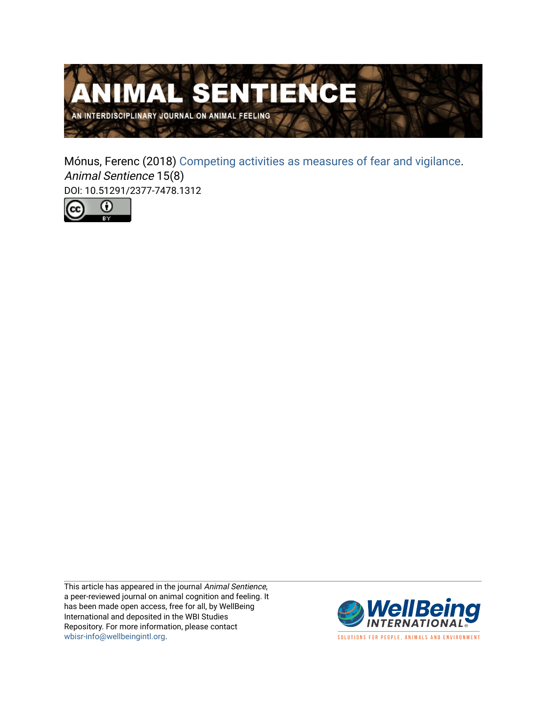

Mónus, Ferenc (2018) [Competing activities as measures of fear and vigilance.](https://www.wellbeingintlstudiesrepository.org/animsent/vol2/iss15/8) Animal Sentience 15(8) DOI: 10.51291/2377-7478.1312



This article has appeared in the journal Animal Sentience, a peer-reviewed journal on animal cognition and feeling. It has been made open access, free for all, by WellBeing International and deposited in the WBI Studies Repository. For more information, please contact [wbisr-info@wellbeingintl.org](mailto:wbisr-info@wellbeingintl.org).



SOLUTIONS FOR PEOPLE, ANIMALS AND ENVIRONMENT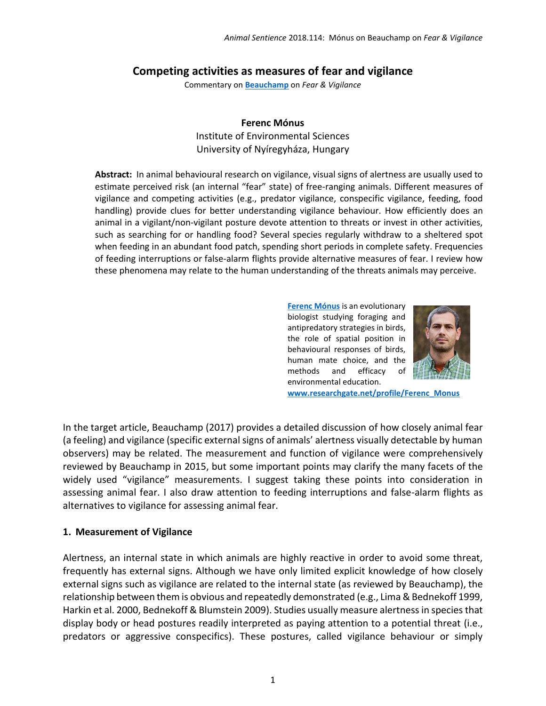### **Competing activities as measures of fear and vigilance**

Commentary on **[Beauchamp](http://animalstudiesrepository.org/animsent/vol2/iss15/1)** on *Fear & Vigilance*

## **Ferenc Mónus**

Institute of Environmental Sciences University of Nyíregyháza, Hungary

**Abstract:** In animal behavioural research on vigilance, visual signs of alertness are usually used to estimate perceived risk (an internal "fear" state) of free-ranging animals. Different measures of vigilance and competing activities (e.g., predator vigilance, conspecific vigilance, feeding, food handling) provide clues for better understanding vigilance behaviour. How efficiently does an animal in a vigilant/non-vigilant posture devote attention to threats or invest in other activities, such as searching for or handling food? Several species regularly withdraw to a sheltered spot when feeding in an abundant food patch, spending short periods in complete safety. Frequencies of feeding interruptions or false-alarm flights provide alternative measures of fear. I review how these phenomena may relate to the human understanding of the threats animals may perceive.

> **[Ferenc Mónus](mailto:monusf@science.unideb.hu)** is an evolutionary biologist studying foraging and antipredatory strategies in birds, the role of spatial position in behavioural responses of birds, human mate choice, and the methods and efficacy of environmental education.



**[www.researchgate.net/profile/Ferenc\\_Monus](http://www.researchgate.net/profile/Ferenc_Monus)**

In the target article, Beauchamp (2017) provides a detailed discussion of how closely animal fear (a feeling) and vigilance (specific external signs of animals' alertness visually detectable by human observers) may be related. The measurement and function of vigilance were comprehensively reviewed by Beauchamp in 2015, but some important points may clarify the many facets of the widely used "vigilance" measurements. I suggest taking these points into consideration in assessing animal fear. I also draw attention to feeding interruptions and false-alarm flights as alternatives to vigilance for assessing animal fear.

### **1. Measurement of Vigilance**

Alertness, an internal state in which animals are highly reactive in order to avoid some threat, frequently has external signs. Although we have only limited explicit knowledge of how closely external signs such as vigilance are related to the internal state (as reviewed by Beauchamp), the relationship between them is obvious and repeatedly demonstrated (e.g., Lima & Bednekoff 1999, Harkin et al. 2000, Bednekoff & Blumstein 2009). Studies usually measure alertness in species that display body or head postures readily interpreted as paying attention to a potential threat (i.e., predators or aggressive conspecifics). These postures, called vigilance behaviour or simply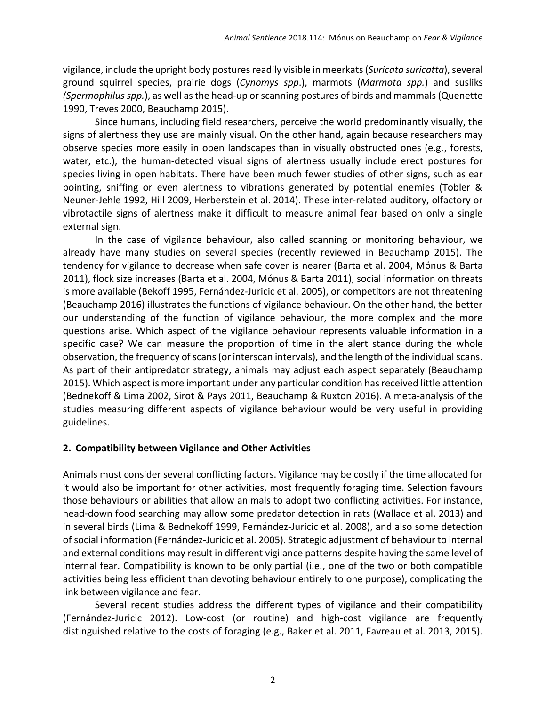vigilance, include the upright body postures readily visible in meerkats (*Suricata suricatta*), several ground squirrel species, prairie dogs (*Cynomys spp*.), marmots (*Marmota spp.*) and susliks *(Spermophilus spp.*), as well as the head-up or scanning postures of birds and mammals (Quenette 1990, Treves 2000, Beauchamp 2015).

Since humans, including field researchers, perceive the world predominantly visually, the signs of alertness they use are mainly visual. On the other hand, again because researchers may observe species more easily in open landscapes than in visually obstructed ones (e.g., forests, water, etc.), the human-detected visual signs of alertness usually include erect postures for species living in open habitats. There have been much fewer studies of other signs, such as ear pointing, sniffing or even alertness to vibrations generated by potential enemies (Tobler & Neuner-Jehle 1992, Hill 2009, Herberstein et al. 2014). These inter-related auditory, olfactory or vibrotactile signs of alertness make it difficult to measure animal fear based on only a single external sign.

In the case of vigilance behaviour, also called scanning or monitoring behaviour, we already have many studies on several species (recently reviewed in Beauchamp 2015). The tendency for vigilance to decrease when safe cover is nearer (Barta et al. 2004, Mónus & Barta 2011), flock size increases (Barta et al. 2004, Mónus & Barta 2011), social information on threats is more available (Bekoff 1995, Fernández-Juricic et al. 2005), or competitors are not threatening (Beauchamp 2016) illustrates the functions of vigilance behaviour. On the other hand, the better our understanding of the function of vigilance behaviour, the more complex and the more questions arise. Which aspect of the vigilance behaviour represents valuable information in a specific case? We can measure the proportion of time in the alert stance during the whole observation, the frequency of scans (or interscan intervals), and the length of the individual scans. As part of their antipredator strategy, animals may adjust each aspect separately (Beauchamp 2015). Which aspect is more important under any particular condition has received little attention (Bednekoff & Lima 2002, Sirot & Pays 2011, Beauchamp & Ruxton 2016). A meta-analysis of the studies measuring different aspects of vigilance behaviour would be very useful in providing guidelines.

### **2. Compatibility between Vigilance and Other Activities**

Animals must consider several conflicting factors. Vigilance may be costly if the time allocated for it would also be important for other activities, most frequently foraging time. Selection favours those behaviours or abilities that allow animals to adopt two conflicting activities. For instance, head-down food searching may allow some predator detection in rats (Wallace et al. 2013) and in several birds (Lima & Bednekoff 1999, Fernández-Juricic et al. 2008), and also some detection of social information (Fernández-Juricic et al. 2005). Strategic adjustment of behaviour to internal and external conditions may result in different vigilance patterns despite having the same level of internal fear. Compatibility is known to be only partial (i.e., one of the two or both compatible activities being less efficient than devoting behaviour entirely to one purpose), complicating the link between vigilance and fear.

Several recent studies address the different types of vigilance and their compatibility (Fernández-Juricic 2012). Low-cost (or routine) and high-cost vigilance are frequently distinguished relative to the costs of foraging (e.g., Baker et al. 2011, Favreau et al. 2013, 2015).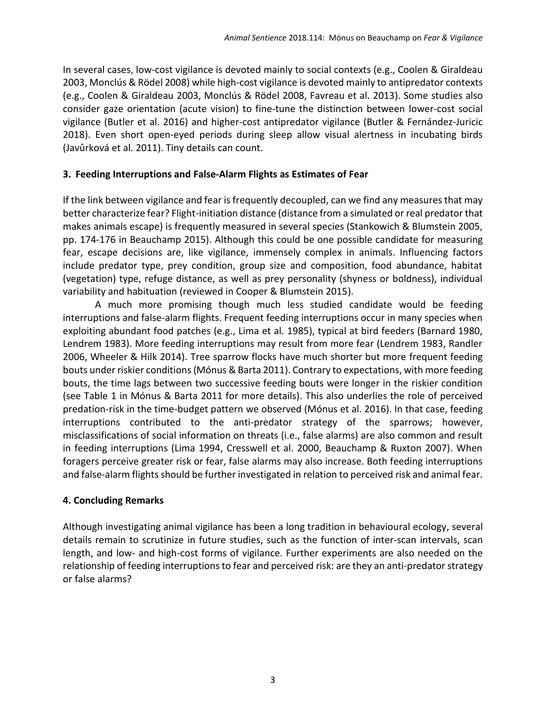In several cases, low-cost vigilance is devoted mainly to social contexts (e.g., Coolen & Giraldeau 2003, Monclús & Rödel 2008) while high-cost vigilance is devoted mainly to antipredator contexts (e.g., Coolen & Giraldeau 2003, Monclús & Rödel 2008, Favreau et al. 2013). Some studies also consider gaze orientation (acute vision) to fine-tune the distinction between lower-cost social vigilance (Butler et al. 2016) and higher-cost antipredator vigilance (Butler & Fernández-Juricic 2018). Even short open-eyed periods during sleep allow visual alertness in incubating birds (Javůrková et al. 2011). Tiny details can count.

## **3. Feeding Interruptions and False-Alarm Flights as Estimates of Fear**

If the link between vigilance and fear is frequently decoupled, can we find any measures that may better characterize fear? Flight-initiation distance (distance from a simulated or real predator that makes animals escape) is frequently measured in several species (Stankowich & Blumstein 2005, pp. 174-176 in Beauchamp 2015). Although this could be one possible candidate for measuring fear, escape decisions are, like vigilance, immensely complex in animals. Influencing factors include predator type, prey condition, group size and composition, food abundance, habitat (vegetation) type, refuge distance, as well as prey personality (shyness or boldness), individual variability and habituation (reviewed in Cooper & Blumstein 2015).

A much more promising though much less studied candidate would be feeding interruptions and false-alarm flights. Frequent feeding interruptions occur in many species when exploiting abundant food patches (e.g., Lima et al. 1985), typical at bird feeders (Barnard 1980, Lendrem 1983). More feeding interruptions may result from more fear (Lendrem 1983, Randler 2006, Wheeler & Hilk 2014). Tree sparrow flocks have much shorter but more frequent feeding bouts under riskier conditions(Mónus & Barta 2011). Contrary to expectations, with more feeding bouts, the time lags between two successive feeding bouts were longer in the riskier condition (see Table 1 in Mónus & Barta 2011 for more details). This also underlies the role of perceived predation-risk in the time-budget pattern we observed (Mónus et al. 2016). In that case, feeding interruptions contributed to the anti-predator strategy of the sparrows; however, misclassifications of social information on threats (i.e., false alarms) are also common and result in feeding interruptions (Lima 1994, Cresswell et al. 2000, Beauchamp & Ruxton 2007). When foragers perceive greater risk or fear, false alarms may also increase. Both feeding interruptions and false-alarm flights should be further investigated in relation to perceived risk and animal fear.

# **4. Concluding Remarks**

Although investigating animal vigilance has been a long tradition in behavioural ecology, several details remain to scrutinize in future studies, such as the function of inter-scan intervals, scan length, and low- and high-cost forms of vigilance. Further experiments are also needed on the relationship of feeding interruptions to fear and perceived risk: are they an anti-predator strategy or false alarms?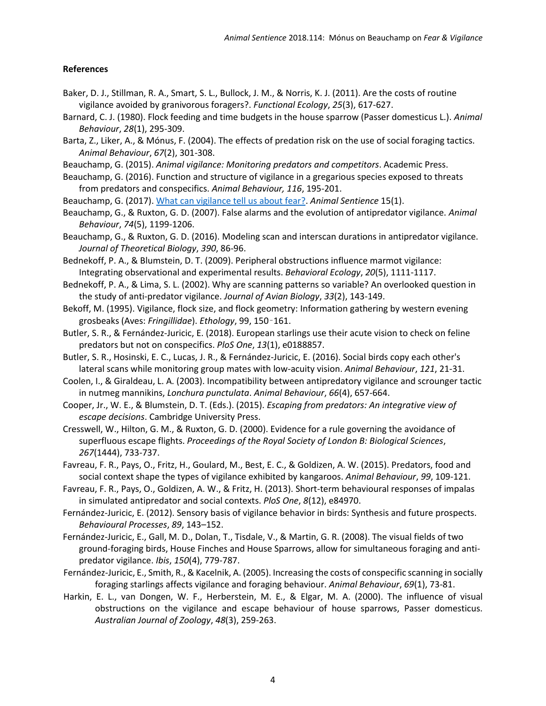#### **References**

- Baker, D. J., Stillman, R. A., Smart, S. L., Bullock, J. M., & Norris, K. J. (2011). Are the costs of routine vigilance avoided by granivorous foragers?. *Functional Ecology*, *25*(3), 617-627.
- Barnard, C. J. (1980). Flock feeding and time budgets in the house sparrow (Passer domesticus L.). *Animal Behaviour*, *28*(1), 295-309.
- Barta, Z., Liker, A., & Mónus, F. (2004). The effects of predation risk on the use of social foraging tactics. *Animal Behaviour*, *67*(2), 301-308.
- Beauchamp, G. (2015). *Animal vigilance: Monitoring predators and competitors*. Academic Press.
- Beauchamp, G. (2016). Function and structure of vigilance in a gregarious species exposed to threats from predators and conspecifics. *Animal Behaviour, 116*, 195-201.
- Beauchamp, G. (2017). [What can vigilance tell us about fear?.](http://animalstudiesrepository.org/animsent/vol2/iss15/1) *Animal Sentience* 15(1).
- Beauchamp, G., & Ruxton, G. D. (2007). False alarms and the evolution of antipredator vigilance. *Animal Behaviour*, *74*(5), 1199-1206.
- Beauchamp, G., & Ruxton, G. D. (2016). Modeling scan and interscan durations in antipredator vigilance. *Journal of Theoretical Biology*, *390*, 86-96.
- Bednekoff, P. A., & Blumstein, D. T. (2009). Peripheral obstructions influence marmot vigilance: Integrating observational and experimental results. *Behavioral Ecology*, *20*(5), 1111-1117.
- Bednekoff, P. A., & Lima, S. L. (2002). Why are scanning patterns so variable? An overlooked question in the study of anti‐predator vigilance. *Journal of Avian Biology*, *33*(2), 143-149.
- Bekoff, M. (1995). Vigilance, flock size, and flock geometry: Information gathering by western evening grosbeaks (Aves: *Fringillidae*). *Ethology*, 99, 150–161.
- Butler, S. R., & Fernández-Juricic, E. (2018). European starlings use their acute vision to check on feline predators but not on conspecifics. *PloS One*, *13*(1), e0188857.
- Butler, S. R., Hosinski, E. C., Lucas, J. R., & Fernández-Juricic, E. (2016). Social birds copy each other's lateral scans while monitoring group mates with low-acuity vision. *Animal Behaviour*, *121*, 21-31.
- Coolen, I., & Giraldeau, L. A. (2003). Incompatibility between antipredatory vigilance and scrounger tactic in nutmeg mannikins, *Lonchura punctulata*. *Animal Behaviour*, *66*(4), 657-664.
- Cooper, Jr., W. E., & Blumstein, D. T. (Eds.). (2015). *Escaping from predators: An integrative view of escape decisions*. Cambridge University Press.
- Cresswell, W., Hilton, G. M., & Ruxton, G. D. (2000). Evidence for a rule governing the avoidance of superfluous escape flights. *Proceedings of the Royal Society of London B: Biological Sciences*, *267*(1444), 733-737.
- Favreau, F. R., Pays, O., Fritz, H., Goulard, M., Best, E. C., & Goldizen, A. W. (2015). Predators, food and social context shape the types of vigilance exhibited by kangaroos. *Animal Behaviour*, *99*, 109-121.
- Favreau, F. R., Pays, O., Goldizen, A. W., & Fritz, H. (2013). Short-term behavioural responses of impalas in simulated antipredator and social contexts. *PloS One*, *8*(12), e84970.
- Fernández-Juricic, E. (2012). Sensory basis of vigilance behavior in birds: Synthesis and future prospects. *Behavioural Processes*, *89*, 143–152.
- Fernández-Juricic, E., Gall, M. D., Dolan, T., Tisdale, V., & Martin, G. R. (2008). The visual fields of two ground‐foraging birds, House Finches and House Sparrows, allow for simultaneous foraging and anti‐ predator vigilance. *Ibis*, *150*(4), 779-787.
- Fernández-Juricic, E., Smith, R., & Kacelnik, A. (2005). Increasing the costs of conspecific scanning in socially foraging starlings affects vigilance and foraging behaviour. *Animal Behaviour*, *69*(1), 73-81.
- Harkin, E. L., van Dongen, W. F., Herberstein, M. E., & Elgar, M. A. (2000). The influence of visual obstructions on the vigilance and escape behaviour of house sparrows, Passer domesticus. *Australian Journal of Zoology*, *48*(3), 259-263.